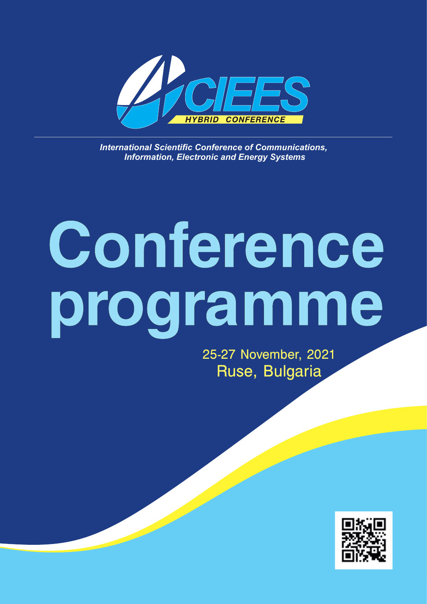

**International Scientific Conference of Communications,**  *Information, Electronic and Energy Systems*

# **Conference programme**

25-27 November, 2021 Ruse, Bulgaria

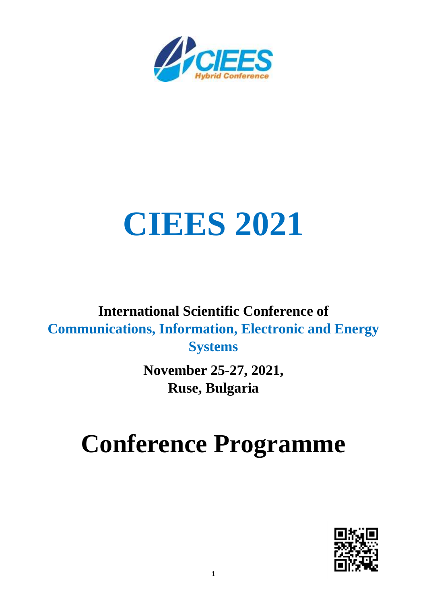

## **CIEES 2021**

#### **International Scientific Conference of Communications, Information, Electronic and Energy Systems**

**November 25-27, 2021, Ruse, Bulgaria**

### **Conference Programme**

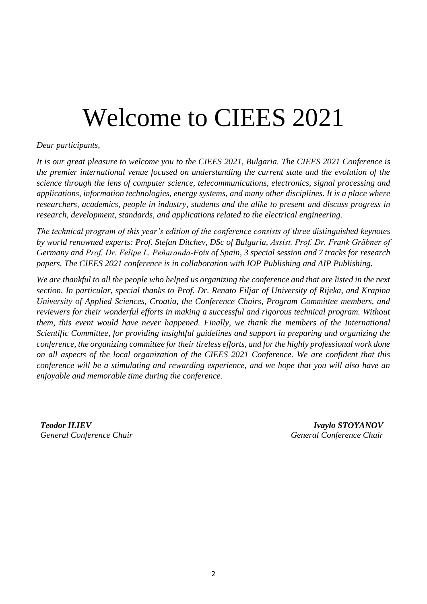### Welcome to CIEES 2021

#### *Dear participants,*

*It is our great pleasure to welcome you to the CIEES 2021, Bulgaria. The CIEES 2021 Conference is the premier international venue focused on understanding the current state and the evolution of the science through the lens of computer science, telecommunications, electronics, signal processing and applications, information technologies, energy systems, and many other disciplines. It is a place where researchers, academics, people in industry, students and the alike to present and discuss progress in research, development, standards, and applications related to the electrical engineering.*

*The technical program of this year's edition of the conference consists of three distinguished keynotes by world renowned experts: Prof. Stefan Ditchev, DSc of Bulgaria, Assist. Prof. Dr. Frank Gräbner of Germany and Prof. Dr. Felipe L. Peñaranda-Foix of Spain, 3 special session and 7 tracks for research papers. The CIEES 2021 conference is in collaboration with IOP Publishing and AIP Publishing.*

*We are thankful to all the people who helped us organizing the conference and that are listed in the next section. In particular, special thanks to Prof. Dr. Renato Filjar of University of Rijeka, and Krapina University of Applied Sciences, Croatia, the Conference Chairs, Program Committee members, and reviewers for their wonderful efforts in making a successful and rigorous technical program. Without them, this event would have never happened. Finally, we thank the members of the International Scientific Committee, for providing insightful guidelines and support in preparing and organizing the conference, the organizing committee for their tireless efforts, and for the highly professional work done on all aspects of the local organization of the CIEES 2021 Conference. We are confident that this conference will be a stimulating and rewarding experience, and we hope that you will also have an enjoyable and memorable time during the conference.*

*Teodor ILIEV General Conference Chair*

*Ivaylo STOYANOV General Conference Chair*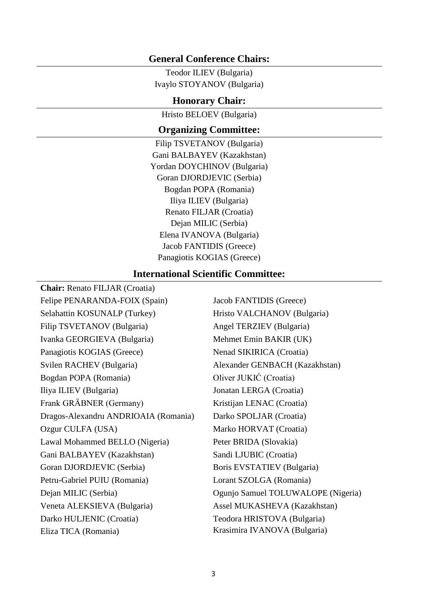#### **General Conference Chairs:**

Teodor ILIEV (Bulgaria) Ivaylo STOYANOV (Bulgaria)

#### **Honorary Chair:**

Hristo BELOEV (Bulgaria)

#### **Organizing Committee:**

Filip TSVETANOV (Bulgaria) Gani BALBAYEV (Kazakhstan) Yordan DOYCHINOV (Bulgaria) Goran DJORDJEVIC (Serbia) Bogdan POPA (Romania) Iliya ILIEV (Bulgaria) Renato FILJAR (Croatia) Dejan MILIC (Serbia) Elena IVANOVA (Bulgaria) Jacob FANTIDIS (Greece) Panagiotis KOGIAS (Greece)

#### **International Scientific Committee:**

**Chair:** Renato FILJAR (Croatia) Felipe PENARANDA-FOIX (Spain) Selahattin KOSUNALP (Turkey) Filip TSVETANOV (Bulgaria) Ivanka GEORGIEVA (Bulgaria) Panagiotis KOGIAS (Greece) Svilen RACHEV (Bulgaria) Bogdan POPA (Romania) Iliya ILIEV (Bulgaria) Frank GRÄBNER (Germany) Dragos-Alexandru ANDRIOAIA (Romania) Ozgur CULFA (USA) Lawal Mohammed BELLO (Nigeria) Gani BALBAYEV (Kazakhstan) Goran DJORDJEVIC (Serbia) Petru-Gabriel PUIU (Romania) Dejan MILIC (Serbia) Veneta ALEKSIEVA (Bulgaria) Darko HULJENIC (Croatia) Eliza TICA (Romania)

Jacob FANTIDIS (Greece) Hristo VALCHANOV (Bulgaria) Angel TERZIEV (Bulgaria) Mehmet Emin BAKIR (UK) Nenad SIKIRICA (Croatia) Alexander GENBACH (Kazakhstan) Oliver JUKIĆ (Croatia) Jonatan LERGA (Croatia) Kristijan LENAC (Croatia) Darkо SPOLJAR (Croatia) Marko HORVAT (Croatia) Peter BRIDA (Slovakia) Sandi LJUBIC (Croatia) Boris EVSTATIEV (Bulgaria) Lorant SZOLGA (Romania) Ogunjo Samuel TOLUWALOPE (Nigeria) Assel MUKASHEVA (Kazakhstan) Teodora HRISTOVA (Bulgaria) Krasimira IVANOVA (Bulgaria)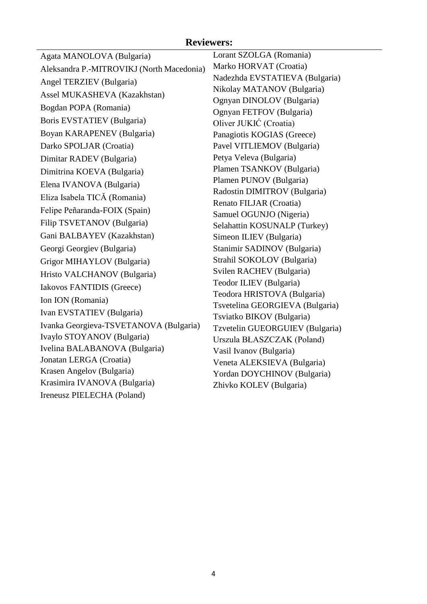#### **Reviewers:**

| Agata MANOLOVA (Bulgaria)                                 | Lorant SZOLGA (Romania)         |
|-----------------------------------------------------------|---------------------------------|
| Aleksandra P.-MITROVIKJ (North Macedonia)                 | Marko HORVAT (Croatia)          |
| Angel TERZIEV (Bulgaria)                                  | Nadezhda EVSTATIEVA (Bulgaria)  |
| Assel MUKASHEVA (Kazakhstan)                              | Nikolay MATANOV (Bulgaria)      |
| Bogdan POPA (Romania)                                     | Ognyan DINOLOV (Bulgaria)       |
|                                                           | Ognyan FETFOV (Bulgaria)        |
| Boris EVSTATIEV (Bulgaria)                                | Oliver JUKIĆ (Croatia)          |
| Boyan KARAPENEV (Bulgaria)                                | Panagiotis KOGIAS (Greece)      |
| Darko SPOLJAR (Croatia)                                   | Pavel VITLIEMOV (Bulgaria)      |
| Dimitar RADEV (Bulgaria)                                  | Petya Veleva (Bulgaria)         |
| Dimitrina KOEVA (Bulgaria)                                | Plamen TSANKOV (Bulgaria)       |
| Elena IVANOVA (Bulgaria)                                  | Plamen PUNOV (Bulgaria)         |
| Eliza Isabela TICĂ (Romania)                              | Radostin DIMITROV (Bulgaria)    |
| Felipe Peñaranda-FOIX (Spain)                             | Renato FILJAR (Croatia)         |
|                                                           | Samuel OGUNJO (Nigeria)         |
| Filip TSVETANOV (Bulgaria)                                | Selahattin KOSUNALP (Turkey)    |
| Gani BALBAYEV (Kazakhstan)                                | Simeon ILIEV (Bulgaria)         |
| Georgi Georgiev (Bulgaria)                                | Stanimir SADINOV (Bulgaria)     |
| Grigor MIHAYLOV (Bulgaria)                                | Strahil SOKOLOV (Bulgaria)      |
| Hristo VALCHANOV (Bulgaria)                               | Svilen RACHEV (Bulgaria)        |
| Iakovos FANTIDIS (Greece)                                 | Teodor ILIEV (Bulgaria)         |
| Ion ION (Romania)                                         | Teodora HRISTOVA (Bulgaria)     |
| Ivan EVSTATIEV (Bulgaria)                                 | Tsvetelina GEORGIEVA (Bulgaria) |
| Ivanka Georgieva-TSVETANOVA (Bulgaria)                    | Tsviatko BIKOV (Bulgaria)       |
| Ivaylo STOYANOV (Bulgaria)                                | Tzvetelin GUEORGUIEV (Bulgaria) |
| Ivelina BALABANOVA (Bulgaria)                             | Urszula BŁASZCZAK (Poland)      |
|                                                           | Vasil Ivanov (Bulgaria)         |
| Jonatan LERGA (Croatia)                                   | Veneta ALEKSIEVA (Bulgaria)     |
| Krasen Angelov (Bulgaria)<br>Krasimira IVANOVA (Bulgaria) | Yordan DOYCHINOV (Bulgaria)     |
|                                                           | Zhivko KOLEV (Bulgaria)         |
| Ireneusz PIELECHA (Poland)                                |                                 |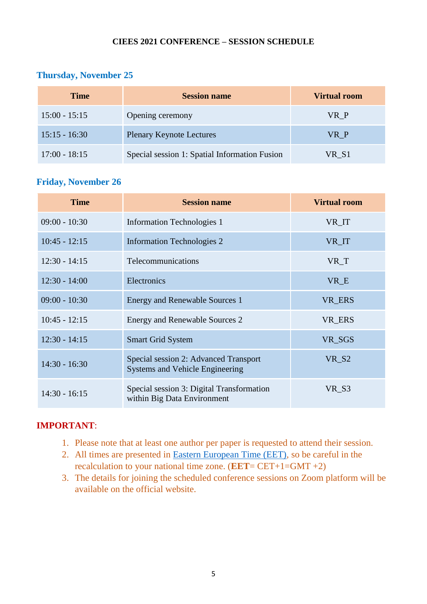#### **CIEES 2021 CONFERENCE – SESSION SCHEDULE**

#### **Thursday, November 25**

| <b>Time</b>     | <b>Session name</b>                           | Virtual room |
|-----------------|-----------------------------------------------|--------------|
| $15:00 - 15:15$ | Opening ceremony                              | VR P         |
| $15:15 - 16:30$ | <b>Plenary Keynote Lectures</b>               | VR P         |
| $17:00 - 18:15$ | Special session 1: Spatial Information Fusion | VR S1        |

#### **Friday, November 26**

| <b>Time</b>     | <b>Session name</b>                                                             | <b>Virtual room</b> |
|-----------------|---------------------------------------------------------------------------------|---------------------|
| $09:00 - 10:30$ | <b>Information Technologies 1</b>                                               | VR_IT               |
| $10:45 - 12:15$ | <b>Information Technologies 2</b>                                               | VR_IT               |
| $12:30 - 14:15$ | <b>Telecommunications</b>                                                       | VR T                |
| $12:30 - 14:00$ | Electronics                                                                     | VR E                |
| $09:00 - 10:30$ | <b>Energy and Renewable Sources 1</b>                                           | VR_ERS              |
| $10:45 - 12:15$ | Energy and Renewable Sources 2                                                  | VR_ERS              |
| $12:30 - 14:15$ | <b>Smart Grid System</b>                                                        | VR_SGS              |
| $14:30 - 16:30$ | Special session 2: Advanced Transport<br><b>Systems and Vehicle Engineering</b> | VR S2               |
| $14:30 - 16:15$ | Special session 3: Digital Transformation<br>within Big Data Environment        | VR_S3               |

#### **IMPORTANT**:

- 1. Please note that at least one author per paper is requested to attend their session.
- 2. All times are presented in [Eastern European Time \(EET\),](https://time.is/) so be careful in the recalculation to your national time zone. (**EET**= CET+1=GMT +2)
- 3. The details for joining the scheduled conference sessions on Zoom platform will be available on the official website.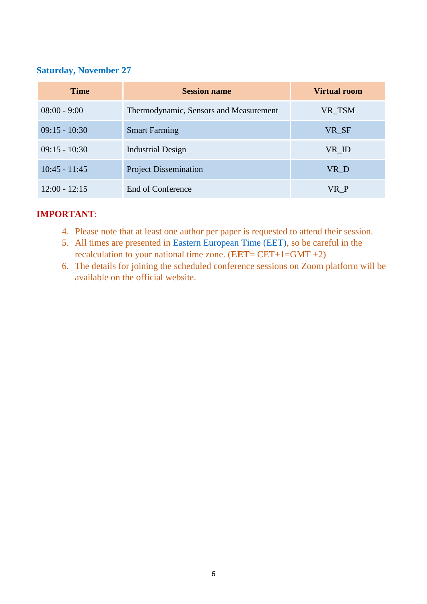#### **Saturday, November 27**

| <b>Time</b>     | <b>Session name</b>                    | <b>Virtual room</b> |
|-----------------|----------------------------------------|---------------------|
| $08:00 - 9:00$  | Thermodynamic, Sensors and Measurement | VR_TSM              |
| $09:15 - 10:30$ | <b>Smart Farming</b>                   | VR_SF               |
| $09:15 - 10:30$ | <b>Industrial Design</b>               | $VR$ <sub>ID</sub>  |
| $10:45 - 11:45$ | <b>Project Dissemination</b>           | VR_D                |
| $12:00 - 12:15$ | End of Conference                      | VR P                |

#### **IMPORTANT**:

- 4. Please note that at least one author per paper is requested to attend their session.
- 5. All times are presented in [Eastern European Time \(EET\),](https://time.is/) so be careful in the recalculation to your national time zone. (**EET**= CET+1=GMT +2)
- 6. The details for joining the scheduled conference sessions on Zoom platform will be available on the official website.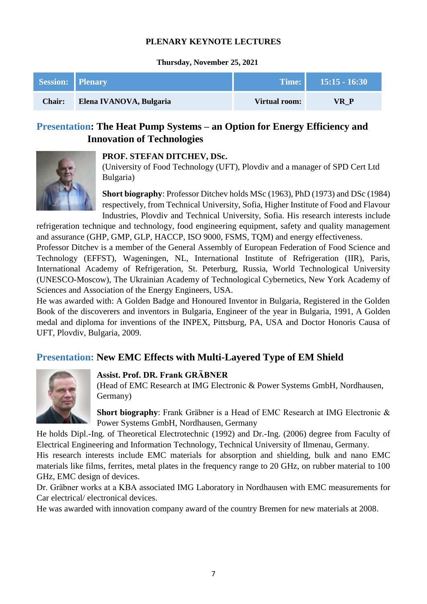#### **PLENARY KEYNOTE LECTURES**

#### **Thursday, November 25, 2021**

| Session: Plenary |                         | Time: 1       | $15:15 - 16:30$ |
|------------------|-------------------------|---------------|-----------------|
| <b>Chair:</b>    | Elena IVANOVA, Bulgaria | Virtual room: | VR P            |

#### **Presentation: The Heat Pump Systems – an Option for Energy Efficiency and Innovation of Technologies**



#### **PROF. STEFAN DITCHEV, DSc.**

(University of Food Technology (UFT), Plovdiv and a manager of SPD Cert Ltd Bulgaria)

**Short biography**: Professor Ditchev holds MSc (1963), PhD (1973) and DSc (1984) respectively, from Technical University, Sofia, Higher Institute of Food and Flavour Industries, Plovdiv and Technical University, Sofia. His research interests include

refrigeration technique and technology, food engineering equipment, safety and quality management and assurance (GHP, GMP, GLP, HACCP, ISO 9000, FSMS, TQM) and energy effectiveness.

Professor Ditchev is a member of the General Assembly of European Federation of Food Science and Technology (EFFST), Wageningen, NL, International Institute of Refrigeration (IIR), Paris, International Academy of Refrigeration, St. Peterburg, Russia, World Technological University (UNESCO-Moscow), The Ukrainian Academy of Technological Cybernetics, New York Academy of Sciences and Association of the Energy Engineers, USA.

He was awarded with: A Golden Badge and Honoured Inventor in Bulgaria, Registered in the Golden Book of the discoverers and inventors in Bulgaria, Engineer of the year in Bulgaria, 1991, A Golden medal and diploma for inventions of the INPEX, Pittsburg, PA, USA and Doctor Honoris Causa of UFT, Plovdiv, Bulgaria, 2009.

#### **Presentation: New EMC Effects with Multi-Layered Type of EM Shield**



#### **Assist. Prof. DR. Frank GRÄBNER**

(Head of EMC Research at IMG Electronic & Power Systems GmbH, Nordhausen, Germany)

**Short biography**: Frank Gräbner is a Head of EMC Research at IMG Electronic & Power Systems GmbH, Nordhausen, Germany

He holds Dipl.-Ing. of Theoretical Electrotechnic (1992) and Dr.-Ing. (2006) degree from Faculty of Electrical Engineering and Information Technology, Technical University of Ilmenau, Germany.

His research interests include EMC materials for absorption and shielding, bulk and nano EMC materials like films, ferrites, metal plates in the frequency range to 20 GHz, on rubber material to 100 GHz, EMC design of devices.

Dr. Gräbner works at a KBA associated IMG Laboratory in Nordhausen with EMC measurements for Car electrical/ electronical devices.

He was awarded with innovation company award of the country Bremen for new materials at 2008.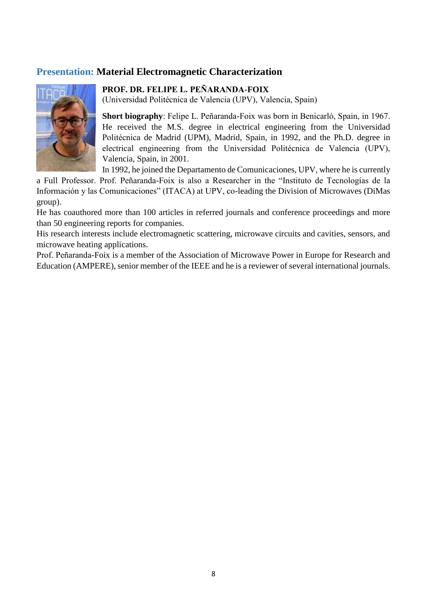#### **Presentation: Material Electromagnetic Characterization**



**PROF. DR. FELIPE L. PEÑARANDA-FOIX**

(Universidad Politécnica de Valencia (UPV), Valencia, Spain)

**Short biography**: Felipe L. Peñaranda-Foix was born in Benicarló, Spain, in 1967. He received the M.S. degree in electrical engineering from the Universidad Politécnica de Madrid (UPM), Madrid, Spain, in 1992, and the Ph.D. degree in electrical engineering from the Universidad Politécnica de Valencia (UPV), Valencia, Spain, in 2001.

In 1992, he joined the Departamento de Comunicaciones, UPV, where he is currently

a Full Professor. Prof. Peñaranda-Foix is also a Researcher in the "Instituto de Tecnologías de la Información y las Comunicaciones" (ITACA) at UPV, co-leading the Division of Microwaves (DiMas group).

He has coauthored more than 100 articles in referred journals and conference proceedings and more than 50 engineering reports for companies.

His research interests include electromagnetic scattering, microwave circuits and cavities, sensors, and microwave heating applications.

Prof. Peñaranda-Foix is a member of the Association of Microwave Power in Europe for Research and Education (AMPERE), senior member of the IEEE and he is a reviewer of several international journals.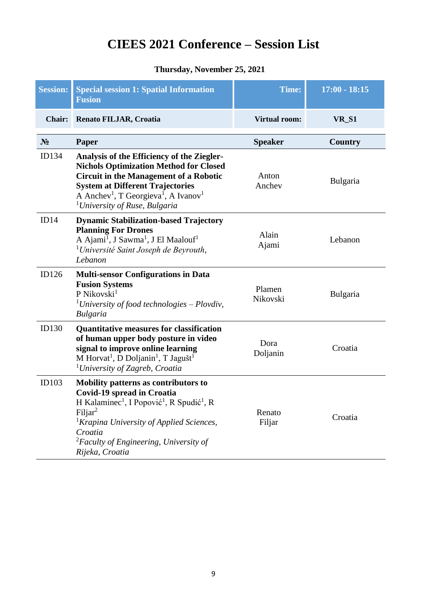#### **CIEES 2021 Conference – Session List**

#### **Thursday, November 25, 2021**

| <b>Session:</b> | <b>Special session 1: Spatial Information</b><br><b>Fusion</b>                                                                                                                                                                                                                                                     | <b>Time:</b>         | $17:00 - 18:15$ |
|-----------------|--------------------------------------------------------------------------------------------------------------------------------------------------------------------------------------------------------------------------------------------------------------------------------------------------------------------|----------------------|-----------------|
| Chair:          | Renato FILJAR, Croatia                                                                                                                                                                                                                                                                                             | <b>Virtual room:</b> | VR_S1           |
| N <sub>2</sub>  | <b>Paper</b>                                                                                                                                                                                                                                                                                                       | <b>Speaker</b>       | <b>Country</b>  |
| ID134           | Analysis of the Efficiency of the Ziegler-<br><b>Nichols Optimization Method for Closed</b><br><b>Circuit in the Management of a Robotic</b><br><b>System at Different Trajectories</b><br>A Anchev <sup>1</sup> , T Georgieva <sup>1</sup> , A Ivanov <sup>1</sup><br><sup>1</sup> University of Ruse, Bulgaria   | Anton<br>Anchev      | <b>Bulgaria</b> |
| ID14            | <b>Dynamic Stabilization-based Trajectory</b><br><b>Planning For Drones</b><br>A Ajami <sup>1</sup> , J Sawma <sup>1</sup> , J El Maalouf <sup>1</sup><br><sup>1</sup> Université Saint Joseph de Beyrouth,<br>Lebanon                                                                                             | Alain<br>Ajami       | Lebanon         |
| ID126           | <b>Multi-sensor Configurations in Data</b><br><b>Fusion Systems</b><br>P Nikovski <sup>1</sup><br><sup>1</sup> University of food technologies – Plovdiv,<br><b>Bulgaria</b>                                                                                                                                       | Plamen<br>Nikovski   | Bulgaria        |
| ID130           | <b>Quantitative measures for classification</b><br>of human upper body posture in video<br>signal to improve online learning<br>M Horvat <sup>1</sup> , D Doljanin <sup>1</sup> , T Jagušt <sup>1</sup><br><sup>1</sup> University of Zagreb, Croatia                                                              | Dora<br>Doljanin     | Croatia         |
| ID103           | Mobility patterns as contributors to<br>Covid-19 spread in Croatia<br>H Kalaminec <sup>1</sup> , I Popović <sup>1</sup> , R Spudić <sup>1</sup> , R<br>Filjar <sup>2</sup><br><sup>1</sup> Krapina University of Applied Sciences,<br>Croatia<br>${}^{2}$ Faculty of Engineering, University of<br>Rijeka, Croatia | Renato<br>Filjar     | Croatia         |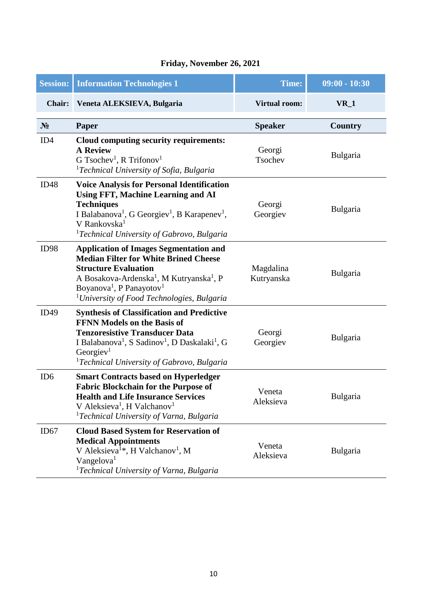| <b>Session:</b> | <b>Information Technologies 1</b>                                                                                                                                                                                                                                                                              | Time:                   | $09:00 - 10:30$ |
|-----------------|----------------------------------------------------------------------------------------------------------------------------------------------------------------------------------------------------------------------------------------------------------------------------------------------------------------|-------------------------|-----------------|
| <b>Chair:</b>   | Veneta ALEKSIEVA, Bulgaria                                                                                                                                                                                                                                                                                     | <b>Virtual room:</b>    | $VR_1$          |
| $N_2$           | Paper                                                                                                                                                                                                                                                                                                          | <b>Speaker</b>          | Country         |
| ID <sub>4</sub> | Cloud computing security requirements:<br><b>A Review</b><br>G Tsochev <sup>1</sup> , R Trifonov <sup>1</sup><br><sup>1</sup> Technical University of Sofia, Bulgaria                                                                                                                                          | Georgi<br>Tsochev       | Bulgaria        |
| ID48            | <b>Voice Analysis for Personal Identification</b><br><b>Using FFT, Machine Learning and AI</b><br><b>Techniques</b><br>I Balabanova <sup>1</sup> , G Georgiev <sup>1</sup> , B Karapenev <sup>1</sup> ,<br>V Rankovska <sup>1</sup><br><sup>1</sup> Technical University of Gabrovo, Bulgaria                  | Georgi<br>Georgiev      | Bulgaria        |
| ID98            | <b>Application of Images Segmentation and</b><br><b>Median Filter for White Brined Cheese</b><br><b>Structure Evaluation</b><br>A Bosakova-Ardenska <sup>1</sup> , M Kutryanska <sup>1</sup> , P<br>Boyanova <sup>1</sup> , P Panayotov <sup>1</sup><br><sup>1</sup> University of Food Technologies, Bulgaria | Magdalina<br>Kutryanska | Bulgaria        |
| ID49            | <b>Synthesis of Classification and Predictive</b><br><b>FFNN Models on the Basis of</b><br><b>Tenzoresistive Transducer Data</b><br>I Balabanova <sup>1</sup> , S Sadinov <sup>1</sup> , D Daskalaki <sup>1</sup> , G<br>Georgiev <sup>1</sup><br><sup>1</sup> Technical University of Gabrovo, Bulgaria       | Georgi<br>Georgiev      | Bulgaria        |
| ID <sub>6</sub> | <b>Smart Contracts based on Hyperledger</b><br><b>Fabric Blockchain for the Purpose of</b><br><b>Health and Life Insurance Services</b><br>V Aleksieva <sup>1</sup> , H Valchanov <sup>1</sup><br><sup>1</sup> Technical University of Varna, Bulgaria                                                         | Veneta<br>Aleksieva     | Bulgaria        |
| ID67            | <b>Cloud Based System for Reservation of</b><br><b>Medical Appointments</b><br>V Aleksieva <sup>1*</sup> , H Valchanov <sup>1</sup> , M<br>Vangelova <sup>1</sup><br><sup>1</sup> Technical University of Varna, Bulgaria                                                                                      | Veneta<br>Aleksieva     | Bulgaria        |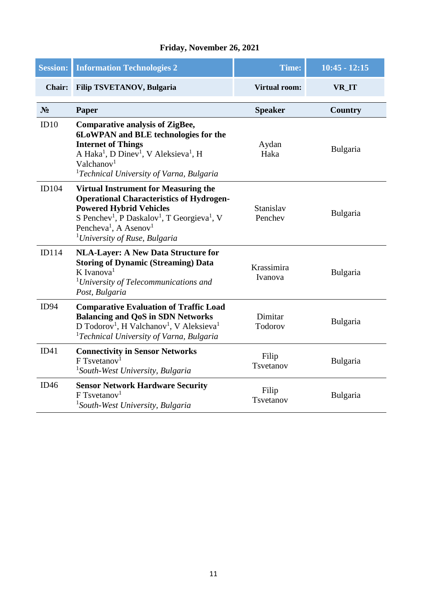| <b>Session:</b> | <b>Information Technologies 2</b>                                                                                                                                                                                                                                                                                 | Time:                 | $10:45 - 12:15$ |
|-----------------|-------------------------------------------------------------------------------------------------------------------------------------------------------------------------------------------------------------------------------------------------------------------------------------------------------------------|-----------------------|-----------------|
| <b>Chair:</b>   | <b>Filip TSVETANOV, Bulgaria</b>                                                                                                                                                                                                                                                                                  | <b>Virtual room:</b>  | VR_IT           |
| N <sub>2</sub>  | Paper                                                                                                                                                                                                                                                                                                             | <b>Speaker</b>        | Country         |
| ID10            | <b>Comparative analysis of ZigBee,</b><br>6LoWPAN and BLE technologies for the<br><b>Internet of Things</b><br>A Haka <sup>1</sup> , D Dinev <sup>1</sup> , V Aleksieva <sup>1</sup> , H<br>Valchanov <sup>1</sup><br><sup>1</sup> Technical University of Varna, Bulgaria                                        | Aydan<br>Haka         | Bulgaria        |
| <b>ID104</b>    | <b>Virtual Instrument for Measuring the</b><br><b>Operational Characteristics of Hydrogen-</b><br><b>Powered Hybrid Vehicles</b><br>S Penchev <sup>1</sup> , P Daskalov <sup>1</sup> , T Georgieva <sup>1</sup> , V<br>Pencheva <sup>1</sup> , A Asenov <sup>1</sup><br><sup>1</sup> University of Ruse, Bulgaria | Stanislav<br>Penchev  | Bulgaria        |
| ID114           | <b>NLA-Layer: A New Data Structure for</b><br><b>Storing of Dynamic (Streaming) Data</b><br>$K$ Ivanova <sup>1</sup><br><sup>1</sup> University of Telecommunications and<br>Post, Bulgaria                                                                                                                       | Krassimira<br>Ivanova | Bulgaria        |
| ID94            | <b>Comparative Evaluation of Traffic Load</b><br><b>Balancing and QoS in SDN Networks</b><br>D Todorov <sup>1</sup> , H Valchanov <sup>1</sup> , V Aleksieva <sup>1</sup><br><sup>1</sup> Technical University of Varna, Bulgaria                                                                                 | Dimitar<br>Todorov    | Bulgaria        |
| ID41            | <b>Connectivity in Sensor Networks</b><br>$F$ Tsvetanov <sup>1</sup><br><sup>1</sup> South-West University, Bulgaria                                                                                                                                                                                              | Filip<br>Tsvetanov    | Bulgaria        |
| ID46            | <b>Sensor Network Hardware Security</b><br>$F$ Tsvetanov <sup>1</sup><br><sup>1</sup> South-West University, Bulgaria                                                                                                                                                                                             | Filip<br>Tsvetanov    | Bulgaria        |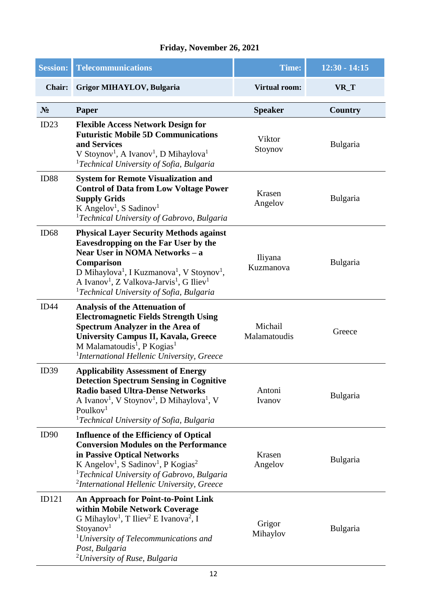| <b>Session:</b> | <b>Telecommunications</b>                                                                                                                                                                                                                                                                                                                                        | <b>Time:</b>            | $12:30 - 14:15$ |
|-----------------|------------------------------------------------------------------------------------------------------------------------------------------------------------------------------------------------------------------------------------------------------------------------------------------------------------------------------------------------------------------|-------------------------|-----------------|
| <b>Chair:</b>   | <b>Grigor MIHAYLOV, Bulgaria</b>                                                                                                                                                                                                                                                                                                                                 | <b>Virtual room:</b>    | VR_T            |
| $N_2$           | Paper                                                                                                                                                                                                                                                                                                                                                            | <b>Speaker</b>          | <b>Country</b>  |
| ID23            | <b>Flexible Access Network Design for</b><br><b>Futuristic Mobile 5D Communications</b><br>and Services<br>V Stoynov <sup>1</sup> , A Ivanov <sup>1</sup> , D Mihaylova <sup>1</sup><br><sup>1</sup> Technical University of Sofia, Bulgaria                                                                                                                     | Viktor<br>Stoynov       | Bulgaria        |
| <b>ID88</b>     | <b>System for Remote Visualization and</b><br><b>Control of Data from Low Voltage Power</b><br><b>Supply Grids</b><br>K Angelov <sup>1</sup> , S Sadinov <sup>1</sup><br><sup>1</sup> Technical University of Gabrovo, Bulgaria                                                                                                                                  | Krasen<br>Angelov       | Bulgaria        |
| ID68            | <b>Physical Layer Security Methods against</b><br>Eavesdropping on the Far User by the<br>Near User in NOMA Networks - a<br>Comparison<br>D Mihaylova <sup>1</sup> , I Kuzmanova <sup>1</sup> , V Stoynov <sup>1</sup> ,<br>A Ivanov <sup>1</sup> , Z Valkova-Jarvis <sup>1</sup> , G Iliev <sup>1</sup><br><sup>1</sup> Technical University of Sofia, Bulgaria | Iliyana<br>Kuzmanova    | Bulgaria        |
| ID44            | <b>Analysis of the Attenuation of</b><br><b>Electromagnetic Fields Strength Using</b><br><b>Spectrum Analyzer in the Area of</b><br><b>University Campus II, Kavala, Greece</b><br>M Malamatoudis <sup>1</sup> , P Kogias <sup>1</sup><br><sup>1</sup> International Hellenic University, Greece                                                                 | Michail<br>Malamatoudis | Greece          |
| ID39            | <b>Applicability Assessment of Energy</b><br><b>Detection Spectrum Sensing in Cognitive</b><br><b>Radio based Ultra-Dense Networks</b><br>A Ivanov <sup>1</sup> , V Stoynov <sup>1</sup> , D Mihaylova <sup>1</sup> , V<br>Poulkov <sup>1</sup><br><sup>1</sup> Technical University of Sofia, Bulgaria                                                          | Antoni<br>Ivanov        | <b>Bulgaria</b> |
| ID90            | <b>Influence of the Efficiency of Optical</b><br><b>Conversion Modules on the Performance</b><br>in Passive Optical Networks<br>K Angelov <sup>1</sup> , S Sadinov <sup>1</sup> , P Kogias <sup>2</sup><br><sup>1</sup> Technical University of Gabrovo, Bulgaria<br><sup>2</sup> International Hellenic University, Greece                                      | Krasen<br>Angelov       | <b>Bulgaria</b> |
| ID121           | <b>An Approach for Point-to-Point Link</b><br>within Mobile Network Coverage<br>G Mihaylov <sup>1</sup> , T Iliev <sup>2</sup> E Ivanova <sup>2</sup> , I<br>Stoyanov <sup>1</sup><br><sup>1</sup> University of Telecommunications and<br>Post, Bulgaria<br><sup>2</sup> University of Ruse, Bulgaria                                                           | Grigor<br>Mihaylov      | <b>Bulgaria</b> |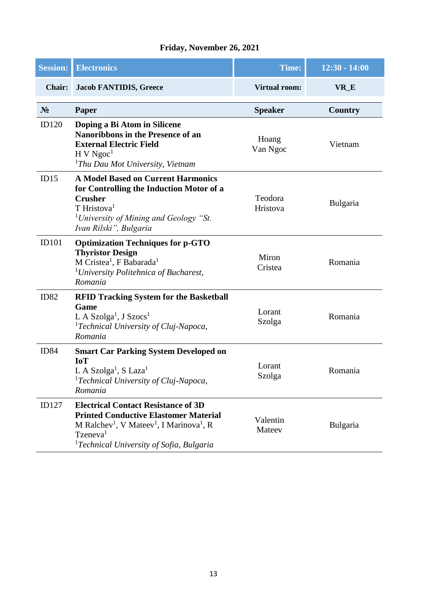| <b>Session:</b>  | <b>Electronics</b>                                                                                                                                                                                                                                            | <b>Time:</b>         | $12:30 - 14:00$ |
|------------------|---------------------------------------------------------------------------------------------------------------------------------------------------------------------------------------------------------------------------------------------------------------|----------------------|-----------------|
| <b>Chair:</b>    | <b>Jacob FANTIDIS, Greece</b>                                                                                                                                                                                                                                 | <b>Virtual room:</b> | VR_E            |
| $N_2$            | <b>Paper</b>                                                                                                                                                                                                                                                  | <b>Speaker</b>       | <b>Country</b>  |
| ID120            | Doping a Bi Atom in Silicene<br>Nanoribbons in the Presence of an<br><b>External Electric Field</b><br>H V Ngoc <sup>1</sup><br><sup>1</sup> Thu Dau Mot University, Vietnam                                                                                  | Hoang<br>Van Ngoc    | Vietnam         |
| ID15             | <b>A Model Based on Current Harmonics</b><br>for Controlling the Induction Motor of a<br><b>Crusher</b><br>$T$ Hristova <sup>1</sup><br><sup>1</sup> University of Mining and Geology "St.<br>Ivan Rilski", Bulgaria                                          | Teodora<br>Hristova  | Bulgaria        |
| <b>ID101</b>     | <b>Optimization Techniques for p-GTO</b><br><b>Thyristor Design</b><br>M Cristea <sup>1</sup> , F Babarada <sup>1</sup><br><sup>1</sup> University Politehnica of Bucharest,<br>Romania                                                                       | Miron<br>Cristea     | Romania         |
| ID <sub>82</sub> | <b>RFID Tracking System for the Basketball</b><br>Game<br>L A Szolga <sup>1</sup> , J Szocs <sup>1</sup><br><sup>1</sup> Technical University of Cluj-Napoca,<br>Romania                                                                                      | Lorant<br>Szolga     | Romania         |
| <b>ID84</b>      | <b>Smart Car Parking System Developed on</b><br><b>IoT</b><br>L A Szolga <sup>1</sup> , S Laza <sup>1</sup><br><sup>1</sup> Technical University of Cluj-Napoca,<br>Romania                                                                                   | Lorant<br>Szolga     | Romania         |
| ID127            | <b>Electrical Contact Resistance of 3D</b><br><b>Printed Conductive Elastomer Material</b><br>M Ralchev <sup>1</sup> , V Mateev <sup>1</sup> , I Marinova <sup>1</sup> , R<br>$T$ zeneva <sup>1</sup><br><sup>1</sup> Technical University of Sofia, Bulgaria | Valentin<br>Mateev   | Bulgaria        |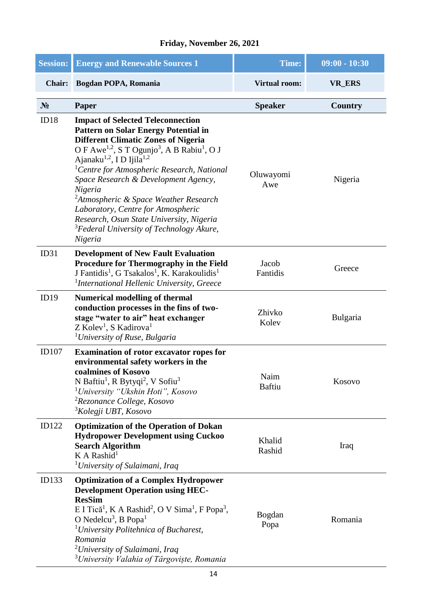| <b>Session:</b> | <b>Energy and Renewable Sources 1</b>                                                                                                                                                                                                                                                                                                                                                                                                                                                                                                                                                               | <b>Time:</b>          | $09:00 - 10:30$ |
|-----------------|-----------------------------------------------------------------------------------------------------------------------------------------------------------------------------------------------------------------------------------------------------------------------------------------------------------------------------------------------------------------------------------------------------------------------------------------------------------------------------------------------------------------------------------------------------------------------------------------------------|-----------------------|-----------------|
| Chair:          | Bogdan POPA, Romania                                                                                                                                                                                                                                                                                                                                                                                                                                                                                                                                                                                | <b>Virtual room:</b>  | <b>VR_ERS</b>   |
| $N_2$           | Paper                                                                                                                                                                                                                                                                                                                                                                                                                                                                                                                                                                                               | <b>Speaker</b>        | <b>Country</b>  |
| ID18            | <b>Impact of Selected Teleconnection</b><br><b>Pattern on Solar Energy Potential in</b><br><b>Different Climatic Zones of Nigeria</b><br>O F Awe <sup>1,2</sup> , S T Ogunjo <sup>3</sup> , A B Rabiu <sup>1</sup> , O J<br>Ajanaku <sup>1,2</sup> , ID Ijila <sup>1,2</sup><br><sup>1</sup> Centre for Atmospheric Research, National<br>Space Research & Development Agency,<br>Nigeria<br><sup>2</sup> Atmospheric & Space Weather Research<br>Laboratory, Centre for Atmospheric<br>Research, Osun State University, Nigeria<br><sup>3</sup> Federal University of Technology Akure,<br>Nigeria | Oluwayomi<br>Awe      | Nigeria         |
| ID31            | <b>Development of New Fault Evaluation</b><br>Procedure for Thermography in the Field<br>J Fantidis <sup>1</sup> , G Tsakalos <sup>1</sup> , K. Karakoulidis <sup>1</sup><br><sup>1</sup> International Hellenic University, Greece                                                                                                                                                                                                                                                                                                                                                                 | Jacob<br>Fantidis     | Greece          |
| ID19            | <b>Numerical modelling of thermal</b><br>conduction processes in the fins of two-<br>stage "water to air" heat exchanger<br>$Z$ Kolev <sup>1</sup> , S Kadirova <sup>1</sup><br><sup>1</sup> University of Ruse, Bulgaria                                                                                                                                                                                                                                                                                                                                                                           | Zhivko<br>Kolev       | <b>Bulgaria</b> |
| <b>ID107</b>    | <b>Examination of rotor excavator ropes for</b><br>environmental safety workers in the<br>coalmines of Kosovo<br>N Baftiu <sup>1</sup> , R Bytyqi <sup>2</sup> , V Sofiu <sup>3</sup><br><sup>1</sup> University "Ukshin Hoti", Kosovo<br><sup>2</sup> Rezonance College, Kosovo<br><sup>3</sup> Kolegji UBT, Kosovo                                                                                                                                                                                                                                                                                | Naim<br><b>Baftiu</b> | Kosovo          |
| ID122           | <b>Optimization of the Operation of Dokan</b><br><b>Hydropower Development using Cuckoo</b><br><b>Search Algorithm</b><br>$K A$ Rashid <sup>1</sup><br><sup>1</sup> University of Sulaimani, Iraq                                                                                                                                                                                                                                                                                                                                                                                                   | Khalid<br>Rashid      | Iraq            |
| ID133           | <b>Optimization of a Complex Hydropower</b><br><b>Development Operation using HEC-</b><br><b>ResSim</b><br>E I Tică <sup>1</sup> , K A Rashid <sup>2</sup> , O V Sima <sup>1</sup> , F Popa <sup>3</sup> ,<br>O Nedelcu <sup>3</sup> , B Popa <sup>1</sup><br><sup>1</sup> University Politehnica of Bucharest,<br>Romania<br><sup>2</sup> University of Sulaimani, Iraq<br><sup>3</sup> University Valahia of Târgoviște, Romania                                                                                                                                                                  | <b>Bogdan</b><br>Popa | Romania         |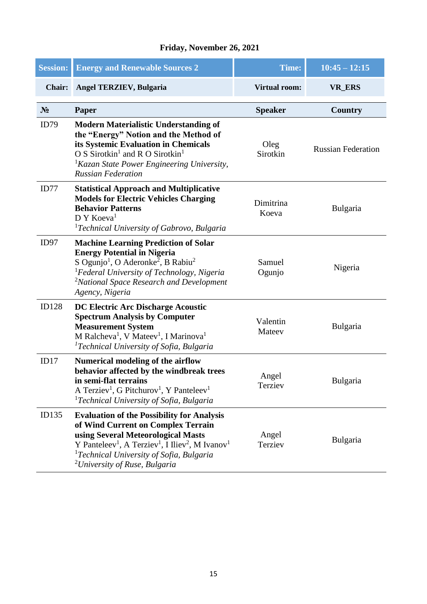| <b>Session:</b> | <b>Energy and Renewable Sources 2</b>                                                                                                                                                                                                                                                                                                  | <b>Time:</b>         | $10:45 - 12:15$           |
|-----------------|----------------------------------------------------------------------------------------------------------------------------------------------------------------------------------------------------------------------------------------------------------------------------------------------------------------------------------------|----------------------|---------------------------|
| <b>Chair:</b>   | <b>Angel TERZIEV, Bulgaria</b>                                                                                                                                                                                                                                                                                                         | <b>Virtual room:</b> | <b>VR_ERS</b>             |
| $N_2$           | Paper                                                                                                                                                                                                                                                                                                                                  | <b>Speaker</b>       | <b>Country</b>            |
| ID79            | <b>Modern Materialistic Understanding of</b><br>the "Energy" Notion and the Method of<br>its Systemic Evaluation in Chemicals<br>O S Sirotkin <sup>1</sup> and R O Sirotkin <sup>1</sup><br><sup>1</sup> Kazan State Power Engineering University,<br><b>Russian Federation</b>                                                        | Oleg<br>Sirotkin     | <b>Russian Federation</b> |
| ID77            | <b>Statistical Approach and Multiplicative</b><br><b>Models for Electric Vehicles Charging</b><br><b>Behavior Patterns</b><br>D Y Koeva <sup>1</sup><br><sup>1</sup> Technical University of Gabrovo, Bulgaria                                                                                                                         | Dimitrina<br>Koeva   | Bulgaria                  |
| ID97            | <b>Machine Learning Prediction of Solar</b><br><b>Energy Potential in Nigeria</b><br>S Ogunjo <sup>1</sup> , O Aderonke <sup>2</sup> , B Rabiu <sup>2</sup><br><sup>1</sup> Federal University of Technology, Nigeria<br><sup>2</sup> National Space Research and Development<br>Agency, Nigeria                                       | Samuel<br>Ogunjo     | Nigeria                   |
| <b>ID128</b>    | DC Electric Arc Discharge Acoustic<br><b>Spectrum Analysis by Computer</b><br><b>Measurement System</b><br>M Ralcheva <sup>1</sup> , V Mateev <sup>1</sup> , I Marinova <sup>1</sup><br><sup>1</sup> Technical University of Sofia, Bulgaria                                                                                           | Valentin<br>Mateev   | Bulgaria                  |
| ID17            | <b>Numerical modeling of the airflow</b><br>behavior affected by the windbreak trees<br>in semi-flat terrains<br>A Terziev <sup>1</sup> , G Pitchurov <sup>1</sup> , Y Panteleev <sup>1</sup><br><sup>1</sup> Technical University of Sofia, Bulgaria                                                                                  | Angel<br>Terziev     | Bulgaria                  |
| ID135           | <b>Evaluation of the Possibility for Analysis</b><br>of Wind Current on Complex Terrain<br>using Several Meteorological Masts<br>Y Panteleev <sup>1</sup> , A Terziev <sup>1</sup> , I Iliev <sup>2</sup> , M Ivanov <sup>1</sup><br><sup>1</sup> Technical University of Sofia, Bulgaria<br><sup>2</sup> University of Ruse, Bulgaria | Angel<br>Terziev     | <b>Bulgaria</b>           |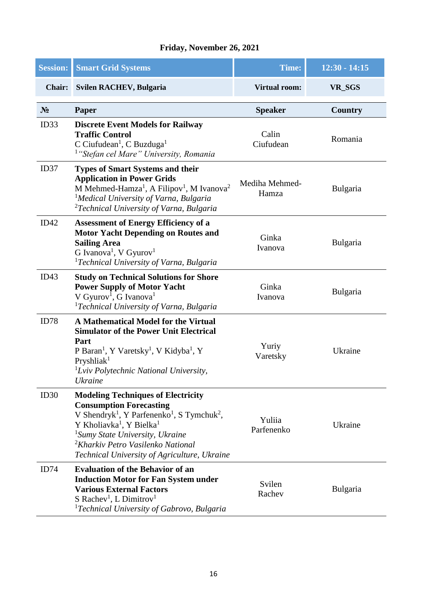| <b>Session:</b> | <b>Smart Grid Systems</b>                                                                                                                                                                                                                                                                                                                                         | <b>Time:</b>            | $12:30 - 14:15$ |
|-----------------|-------------------------------------------------------------------------------------------------------------------------------------------------------------------------------------------------------------------------------------------------------------------------------------------------------------------------------------------------------------------|-------------------------|-----------------|
| <b>Chair:</b>   | <b>Svilen RACHEV, Bulgaria</b>                                                                                                                                                                                                                                                                                                                                    | <b>Virtual room:</b>    | VR_SGS          |
| $N_2$           | Paper                                                                                                                                                                                                                                                                                                                                                             | <b>Speaker</b>          | Country         |
| ID33            | <b>Discrete Event Models for Railway</b><br><b>Traffic Control</b><br>C Ciufudean <sup>1</sup> , C Buzduga <sup>1</sup><br><sup>1</sup> "Stefan cel Mare" University, Romania                                                                                                                                                                                     | Calin<br>Ciufudean      | Romania         |
| ID37            | <b>Types of Smart Systems and their</b><br><b>Application in Power Grids</b><br>M Mehmed-Hamza <sup>1</sup> , A Filipov <sup>1</sup> , M Ivanova <sup>2</sup><br><sup>1</sup> Medical University of Varna, Bulgaria<br><sup>2</sup> Technical University of Varna, Bulgaria                                                                                       | Mediha Mehmed-<br>Hamza | Bulgaria        |
| ID42            | <b>Assessment of Energy Efficiency of a</b><br><b>Motor Yacht Depending on Routes and</b><br><b>Sailing Area</b><br>G Ivanova <sup>1</sup> , V Gyurov <sup>1</sup><br><sup>1</sup> Technical University of Varna, Bulgaria                                                                                                                                        | Ginka<br>Ivanova        | Bulgaria        |
| ID43            | <b>Study on Technical Solutions for Shore</b><br><b>Power Supply of Motor Yacht</b><br>V Gyurov <sup>1</sup> , G Ivanova <sup>1</sup><br><sup>1</sup> Technical University of Varna, Bulgaria                                                                                                                                                                     | Ginka<br>Ivanova        | Bulgaria        |
| ID78            | A Mathematical Model for the Virtual<br><b>Simulator of the Power Unit Electrical</b><br>Part<br>P Baran <sup>1</sup> , Y Varetsky <sup>1</sup> , V Kidyba <sup>1</sup> , Y<br>Pryshlia $k1$<br>${}^{1}$ Lviv Polytechnic National University,<br>Ukraine                                                                                                         | Yuriy<br>Varetsky       | Ukraine         |
| ID30            | <b>Modeling Techniques of Electricity</b><br><b>Consumption Forecasting</b><br>V Shendryk <sup>1</sup> , Y Parfenenko <sup>1</sup> , S Tymchuk <sup>2</sup> ,<br>Y Kholiavka <sup>1</sup> , Y Bielka <sup>1</sup><br><sup>1</sup> Sumy State University, Ukraine<br><sup>2</sup> Kharkiv Petro Vasilenko National<br>Technical University of Agriculture, Ukraine | Yuliia<br>Parfenenko    | Ukraine         |
| ID74            | <b>Evaluation of the Behavior of an</b><br><b>Induction Motor for Fan System under</b><br><b>Various External Factors</b><br>S Rachev <sup>1</sup> , L Dimitrov <sup>1</sup><br><sup>1</sup> Technical University of Gabrovo, Bulgaria                                                                                                                            | Svilen<br>Rachev        | <b>Bulgaria</b> |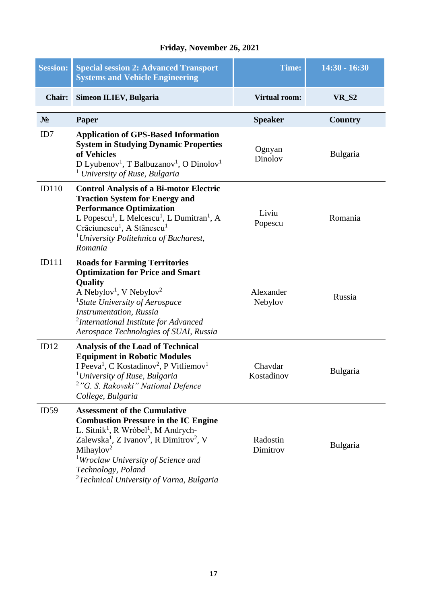| <b>Session:</b> | <b>Special session 2: Advanced Transport</b><br><b>Systems and Vehicle Engineering</b>                                                                                                                                                                                                                                                                                                    | Time:                 | $14:30 - 16:30$ |
|-----------------|-------------------------------------------------------------------------------------------------------------------------------------------------------------------------------------------------------------------------------------------------------------------------------------------------------------------------------------------------------------------------------------------|-----------------------|-----------------|
| <b>Chair:</b>   | Simeon ILIEV, Bulgaria                                                                                                                                                                                                                                                                                                                                                                    | <b>Virtual room:</b>  | <b>VR_S2</b>    |
| $N_2$           | Paper                                                                                                                                                                                                                                                                                                                                                                                     | <b>Speaker</b>        | Country         |
| ID7             | <b>Application of GPS-Based Information</b><br><b>System in Studying Dynamic Properties</b><br>of Vehicles<br>D Lyubenov <sup>1</sup> , T Balbuzanov <sup>1</sup> , O Dinolov <sup>1</sup><br><sup>1</sup> University of Ruse, Bulgaria                                                                                                                                                   | Ognyan<br>Dinolov     | Bulgaria        |
| ID110           | <b>Control Analysis of a Bi-motor Electric</b><br><b>Traction System for Energy and</b><br><b>Performance Optimization</b><br>L Popescu <sup>1</sup> , L Melcescu <sup>1</sup> , L Dumitran <sup>1</sup> , A<br>Crăciunescu <sup>1</sup> , A Stănescu <sup>1</sup><br><sup>1</sup> University Politehnica of Bucharest,<br>Romania                                                        | Liviu<br>Popescu      | Romania         |
| <b>ID111</b>    | <b>Roads for Farming Territories</b><br><b>Optimization for Price and Smart</b><br>Quality<br>A Nebylov <sup>1</sup> , V Nebylov <sup>2</sup><br><sup>1</sup> State University of Aerospace<br><b>Instrumentation</b> , Russia<br><sup>2</sup> International Institute for Advanced<br>Aerospace Technologies of SUAI, Russia                                                             | Alexander<br>Nebylov  | Russia          |
| ID12            | <b>Analysis of the Load of Technical</b><br><b>Equipment in Robotic Modules</b><br>I Peeva <sup>1</sup> , C Kostadinov <sup>2</sup> , P Vitliemov <sup>1</sup><br><sup>1</sup> University of Ruse, Bulgaria<br><sup>2</sup> "G. S. Rakovski" National Defence<br>College, Bulgaria                                                                                                        | Chavdar<br>Kostadinov | Bulgaria        |
| ID59            | <b>Assessment of the Cumulative</b><br><b>Combustion Pressure in the IC Engine</b><br>L. Sitnik <sup>1</sup> , R Wróbel <sup>1</sup> , M Andrych-<br>Zalewska <sup>1</sup> , Z Ivanov <sup>2</sup> , R Dimitrov <sup>2</sup> , V<br>Mihaylov <sup>2</sup><br><sup>1</sup> Wroclaw University of Science and<br>Technology, Poland<br><sup>2</sup> Technical University of Varna, Bulgaria | Radostin<br>Dimitrov  | Bulgaria        |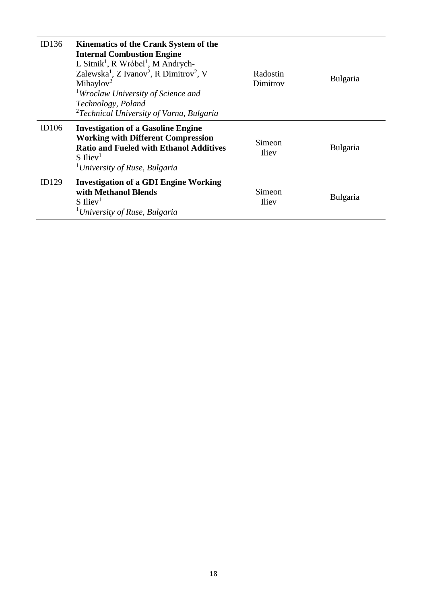| ID136 | Kinematics of the Crank System of the<br><b>Internal Combustion Engine</b><br>L Sitnik <sup>1</sup> , R Wróbel <sup>1</sup> , M Andrych-<br>Zalewska <sup>1</sup> , Z Ivanov <sup>2</sup> , R Dimitrov <sup>2</sup> , V<br>Mihaylov <sup>2</sup><br><sup>1</sup> Wroclaw University of Science and<br>Technology, Poland<br><sup>2</sup> Technical University of Varna, Bulgaria | Radostin<br>Dimitrov   | Bulgaria |
|-------|----------------------------------------------------------------------------------------------------------------------------------------------------------------------------------------------------------------------------------------------------------------------------------------------------------------------------------------------------------------------------------|------------------------|----------|
| ID106 | <b>Investigation of a Gasoline Engine</b><br><b>Working with Different Compression</b><br><b>Ratio and Fueled with Ethanol Additives</b><br>$S$ Iliev <sup>1</sup><br><sup>1</sup> University of Ruse, Bulgaria                                                                                                                                                                  | Simeon<br><b>Iliev</b> | Bulgaria |
| ID129 | <b>Investigation of a GDI Engine Working</b><br>with Methanol Blends<br>$S$ Iliev <sup>1</sup><br><sup>1</sup> University of Ruse, Bulgaria                                                                                                                                                                                                                                      | Simeon<br><b>Iliev</b> | Bulgaria |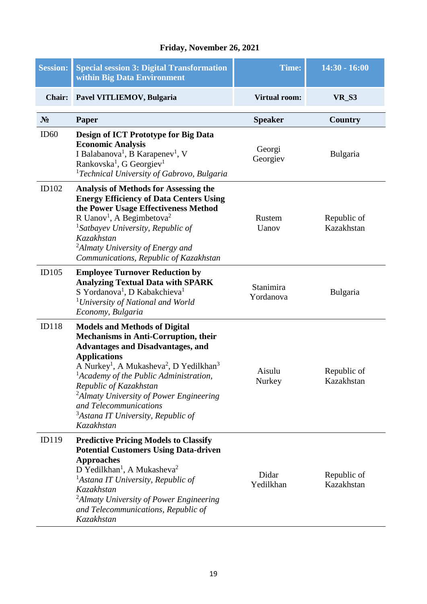| <b>Session:</b> | <b>Special session 3: Digital Transformation</b><br>within Big Data Environment                                                                                                                                                                                                                                                                                                                                                                                        | Time:                  | $14:30 - 16:00$           |
|-----------------|------------------------------------------------------------------------------------------------------------------------------------------------------------------------------------------------------------------------------------------------------------------------------------------------------------------------------------------------------------------------------------------------------------------------------------------------------------------------|------------------------|---------------------------|
| <b>Chair:</b>   | Pavel VITLIEMOV, Bulgaria                                                                                                                                                                                                                                                                                                                                                                                                                                              | <b>Virtual room:</b>   | <b>VR_S3</b>              |
| $N_2$           | Paper                                                                                                                                                                                                                                                                                                                                                                                                                                                                  | <b>Speaker</b>         | Country                   |
| ID60            | Design of ICT Prototype for Big Data<br><b>Economic Analysis</b><br>I Balabanova <sup>1</sup> , B Karapenev <sup>1</sup> , V<br>Rankovska <sup>1</sup> , G Georgiev <sup>1</sup><br><sup>1</sup> Technical University of Gabrovo, Bulgaria                                                                                                                                                                                                                             | Georgi<br>Georgiev     | Bulgaria                  |
| ID102           | <b>Analysis of Methods for Assessing the</b><br><b>Energy Efficiency of Data Centers Using</b><br>the Power Usage Effectiveness Method<br>R Uanov <sup>1</sup> , A Begimbetova <sup>2</sup><br><sup>1</sup> Satbayev University, Republic of<br>Kazakhstan<br><sup>2</sup> Almaty University of Energy and<br>Communications, Republic of Kazakhstan                                                                                                                   | Rustem<br>Uanov        | Republic of<br>Kazakhstan |
| ID105           | <b>Employee Turnover Reduction by</b><br><b>Analyzing Textual Data with SPARK</b><br>S Yordanova <sup>1</sup> , D Kabakchieva <sup>1</sup><br><sup>1</sup> University of National and World<br>Economy, Bulgaria                                                                                                                                                                                                                                                       | Stanimira<br>Yordanova | Bulgaria                  |
| <b>ID118</b>    | <b>Models and Methods of Digital</b><br><b>Mechanisms in Anti-Corruption, their</b><br><b>Advantages and Disadvantages, and</b><br><b>Applications</b><br>A Nurkey <sup>1</sup> , A Mukasheva <sup>2</sup> , D Yedilkhan <sup>3</sup><br><sup>1</sup> Academy of the Public Administration,<br>Republic of Kazakhstan<br><sup>2</sup> Almaty University of Power Engineering<br>and Telecommunications<br><sup>3</sup> Astana IT University, Republic of<br>Kazakhstan | Aisulu<br>Nurkey       | Republic of<br>Kazakhstan |
| ID119           | <b>Predictive Pricing Models to Classify</b><br><b>Potential Customers Using Data-driven</b><br><b>Approaches</b><br>D Yedilkhan <sup>1</sup> , A Mukasheva <sup>2</sup><br><sup>1</sup> Astana IT University, Republic of<br><b>Kazakhstan</b><br><sup>2</sup> Almaty University of Power Engineering<br>and Telecommunications, Republic of<br>Kazakhstan                                                                                                            | Didar<br>Yedilkhan     | Republic of<br>Kazakhstan |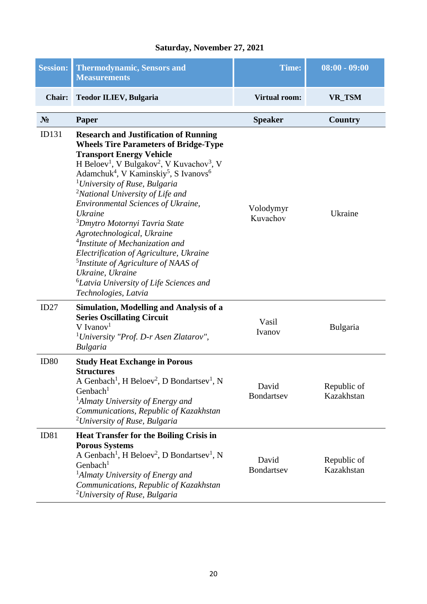#### **Saturday, November 27, 2021**

| <b>Session:</b> | <b>Thermodynamic, Sensors and</b><br><b>Measurements</b>                                                                                                                                                                                                                                                                                                                                                                                                                                                                                                                                                                                                                                                                                                                              | <b>Time:</b>          | $08:00 - 09:00$           |
|-----------------|---------------------------------------------------------------------------------------------------------------------------------------------------------------------------------------------------------------------------------------------------------------------------------------------------------------------------------------------------------------------------------------------------------------------------------------------------------------------------------------------------------------------------------------------------------------------------------------------------------------------------------------------------------------------------------------------------------------------------------------------------------------------------------------|-----------------------|---------------------------|
| <b>Chair:</b>   | <b>Teodor ILIEV, Bulgaria</b>                                                                                                                                                                                                                                                                                                                                                                                                                                                                                                                                                                                                                                                                                                                                                         | <b>Virtual room:</b>  | VR_TSM                    |
| $N_2$           | Paper                                                                                                                                                                                                                                                                                                                                                                                                                                                                                                                                                                                                                                                                                                                                                                                 | <b>Speaker</b>        | <b>Country</b>            |
| ID131           | <b>Research and Justification of Running</b><br><b>Wheels Tire Parameters of Bridge-Type</b><br><b>Transport Energy Vehicle</b><br>H Beloev <sup>1</sup> , V Bulgakov <sup>2</sup> , V Kuvachov <sup>3</sup> , V<br>Adamchuk <sup>4</sup> , V Kaminskiy <sup>5</sup> , S Ivanovs <sup>6</sup><br><sup>1</sup> University of Ruse, Bulgaria<br><sup>2</sup> National University of Life and<br><b>Environmental Sciences of Ukraine,</b><br><b>Ukraine</b><br><sup>3</sup> Dmytro Motornyi Tavria State<br>Agrotechnological, Ukraine<br><sup>4</sup> Institute of Mechanization and<br>Electrification of Agriculture, Ukraine<br><sup>5</sup> Institute of Agriculture of NAAS of<br>Ukraine, Ukraine<br><sup>6</sup> Latvia University of Life Sciences and<br>Technologies, Latvia | Volodymyr<br>Kuvachov | Ukraine                   |
| ID27            | Simulation, Modelling and Analysis of a<br><b>Series Oscillating Circuit</b><br>$V$ Ivanov <sup>1</sup><br><sup>1</sup> University "Prof. D-r Asen Zlatarov",<br><b>Bulgaria</b>                                                                                                                                                                                                                                                                                                                                                                                                                                                                                                                                                                                                      | Vasil<br>Ivanov       | Bulgaria                  |
| ID80            | <b>Study Heat Exchange in Porous</b><br><b>Structures</b><br>A Genbach <sup>1</sup> , H Beloev <sup>2</sup> , D Bondartsev <sup>1</sup> , N<br>Genbach $1$<br><sup>1</sup> Almaty University of Energy and<br>Communications, Republic of Kazakhstan<br><sup>2</sup> University of Ruse, Bulgaria                                                                                                                                                                                                                                                                                                                                                                                                                                                                                     | David<br>Bondartsev   | Republic of<br>Kazakhstan |
| ID81            | <b>Heat Transfer for the Boiling Crisis in</b><br><b>Porous Systems</b><br>A Genbach <sup>1</sup> , H Beloev <sup>2</sup> , D Bondartsev <sup>1</sup> , N<br>Genbach <sup>1</sup><br><sup>1</sup> Almaty University of Energy and<br>Communications, Republic of Kazakhstan<br><sup>2</sup> University of Ruse, Bulgaria                                                                                                                                                                                                                                                                                                                                                                                                                                                              | David<br>Bondartsev   | Republic of<br>Kazakhstan |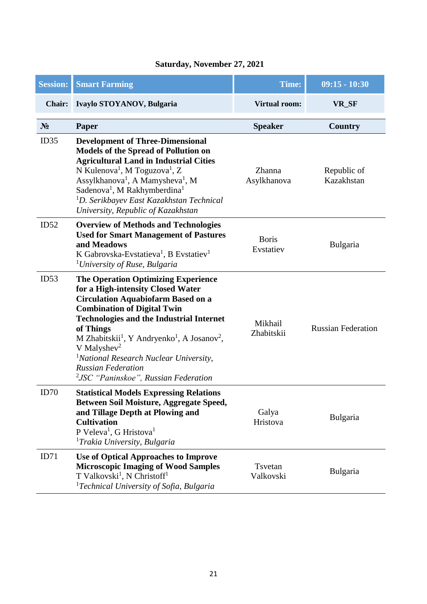| Saturday, November 27, 2021 |  |
|-----------------------------|--|
|                             |  |

| <b>Session:</b> | <b>Smart Farming</b>                                                                                                                                                                                                                                                                                                                                                                                                                                                                    | <b>Time:</b>              | $09:15 - 10:30$           |
|-----------------|-----------------------------------------------------------------------------------------------------------------------------------------------------------------------------------------------------------------------------------------------------------------------------------------------------------------------------------------------------------------------------------------------------------------------------------------------------------------------------------------|---------------------------|---------------------------|
| <b>Chair:</b>   | Ivaylo STOYANOV, Bulgaria                                                                                                                                                                                                                                                                                                                                                                                                                                                               | <b>Virtual room:</b>      | VR_SF                     |
| $N_2$           | Paper                                                                                                                                                                                                                                                                                                                                                                                                                                                                                   | <b>Speaker</b>            | <b>Country</b>            |
| ID35            | <b>Development of Three-Dimensional</b><br><b>Models of the Spread of Pollution on</b><br><b>Agricultural Land in Industrial Cities</b><br>N Kulenova <sup>1</sup> , M Toguzova <sup>1</sup> , Z<br>Assylkhanova <sup>1</sup> , A Mamysheva <sup>1</sup> , M<br>Sadenova <sup>1</sup> , M Rakhymberdina <sup>1</sup><br><sup>1</sup> D. Serikbayev East Kazakhstan Technical<br>University, Republic of Kazakhstan                                                                      | Zhanna<br>Asylkhanova     | Republic of<br>Kazakhstan |
| ID52            | <b>Overview of Methods and Technologies</b><br><b>Used for Smart Management of Pastures</b><br>and Meadows<br>K Gabrovska-Evstatieva <sup>1</sup> , B Evstatiev <sup>1</sup><br><sup>1</sup> University of Ruse, Bulgaria                                                                                                                                                                                                                                                               | <b>Boris</b><br>Evstatiev | Bulgaria                  |
| ID53            | <b>The Operation Optimizing Experience</b><br>for a High-intensity Closed Water<br><b>Circulation Aquabiofarm Based on a</b><br><b>Combination of Digital Twin</b><br><b>Technologies and the Industrial Internet</b><br>of Things<br>M Zhabitskii <sup>1</sup> , Y Andryenko <sup>1</sup> , A Josanov <sup>2</sup> ,<br>V Malyshev <sup>2</sup><br><sup>1</sup> National Research Nuclear University,<br><b>Russian Federation</b><br><sup>2</sup> JSC "Paninskoe", Russian Federation | Mikhail<br>Zhabitskii     | <b>Russian Federation</b> |
| ID70            | <b>Statistical Models Expressing Relations</b><br>Between Soil Moisture, Aggregate Speed,<br>and Tillage Depth at Plowing and<br><b>Cultivation</b><br>P Veleva <sup>1</sup> , G Hristova <sup>1</sup><br><sup>1</sup> Trakia University, Bulgaria                                                                                                                                                                                                                                      | Galya<br>Hristova         | Bulgaria                  |
| ID71            | Use of Optical Approaches to Improve<br><b>Microscopic Imaging of Wood Samples</b><br>T Valkovski <sup>1</sup> , N Christoff <sup>1</sup><br><sup>1</sup> Technical University of Sofia, Bulgaria                                                                                                                                                                                                                                                                                       | Tsvetan<br>Valkovski      | Bulgaria                  |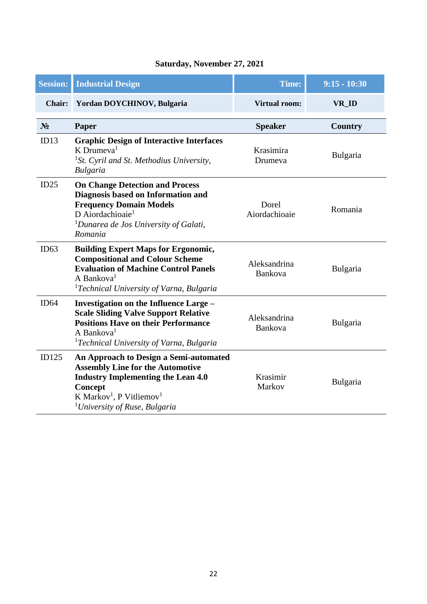#### **Saturday, November 27, 2021**

| <b>Session:</b> | <b>Industrial Design</b>                                                                                                                                                                                                                          | <b>Time:</b>            | $9:15 - 10:30$ |
|-----------------|---------------------------------------------------------------------------------------------------------------------------------------------------------------------------------------------------------------------------------------------------|-------------------------|----------------|
| <b>Chair:</b>   | Yordan DOYCHINOV, Bulgaria                                                                                                                                                                                                                        | <b>Virtual room:</b>    | VR_ID          |
| N <sub>2</sub>  | Paper                                                                                                                                                                                                                                             | <b>Speaker</b>          | <b>Country</b> |
| ID13            | <b>Graphic Design of Interactive Interfaces</b><br>$K$ Drumeva <sup>1</sup><br><sup>1</sup> St. Cyril and St. Methodius University,<br><b>Bulgaria</b>                                                                                            | Krasimira<br>Drumeva    | Bulgaria       |
| ID25            | <b>On Change Detection and Process</b><br>Diagnosis based on Information and<br><b>Frequency Domain Models</b><br>D Aiordachioaie <sup>1</sup><br><sup>1</sup> Dunarea de Jos University of Galati,<br>Romania                                    | Dorel<br>Aiordachioaie  | Romania        |
| ID63            | <b>Building Expert Maps for Ergonomic,</b><br><b>Compositional and Colour Scheme</b><br><b>Evaluation of Machine Control Panels</b><br>A Bankova <sup>1</sup><br><sup>1</sup> Technical University of Varna, Bulgaria                             | Aleksandrina<br>Bankova | Bulgaria       |
| ID64            | <b>Investigation on the Influence Large -</b><br><b>Scale Sliding Valve Support Relative</b><br><b>Positions Have on their Performance</b><br>A Bankova <sup>1</sup><br><sup>1</sup> Technical University of Varna, Bulgaria                      | Aleksandrina<br>Bankova | Bulgaria       |
| ID125           | An Approach to Design a Semi-automated<br><b>Assembly Line for the Automotive</b><br><b>Industry Implementing the Lean 4.0</b><br><b>Concept</b><br>K Markov <sup>1</sup> , P Vitliemov <sup>1</sup><br><sup>1</sup> University of Ruse, Bulgaria | Krasimir<br>Markov      | Bulgaria       |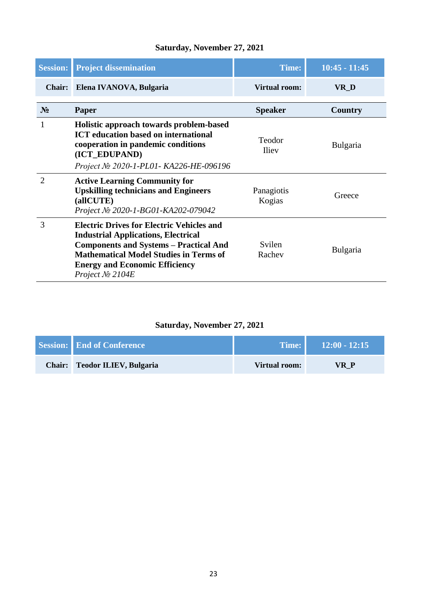#### **Saturday, November 27, 2021**

| <b>Session:</b> | <b>Project dissemination</b>                                                                                                                                                                                                                                     | Time:                  | $10:45 - 11:45$ |
|-----------------|------------------------------------------------------------------------------------------------------------------------------------------------------------------------------------------------------------------------------------------------------------------|------------------------|-----------------|
| <b>Chair:</b>   | Elena IVANOVA, Bulgaria                                                                                                                                                                                                                                          | <b>Virtual room:</b>   | VR_D            |
| $N_2$           | Paper                                                                                                                                                                                                                                                            | <b>Speaker</b>         | <b>Country</b>  |
| 1               | Holistic approach towards problem-based<br><b>ICT</b> education based on international<br>cooperation in pandemic conditions<br>(ICT_EDUPAND)<br>Project № 2020-1-PL01- KA226-HE-096196                                                                          | Teodor<br><b>Iliev</b> | <b>Bulgaria</b> |
| $\overline{2}$  | <b>Active Learning Community for</b><br><b>Upskilling technicians and Engineers</b><br>(allCUTE)<br>Project № 2020-1-BG01-KA202-079042                                                                                                                           | Panagiotis<br>Kogias   | Greece          |
| 3               | <b>Electric Drives for Electric Vehicles and</b><br><b>Industrial Applications, Electrical</b><br><b>Components and Systems - Practical And</b><br><b>Mathematical Model Studies in Terms of</b><br><b>Energy and Economic Efficiency</b><br>Project $N_2$ 2104E | Svilen<br>Rachev       | <b>Bulgaria</b> |

#### **Saturday, November 27, 2021**

| <b>Session:</b> End of Conference | Time:         | $12:00 - 12:15$ |
|-----------------------------------|---------------|-----------------|
| Chair: Teodor ILIEV, Bulgaria     | Virtual room: | VR P            |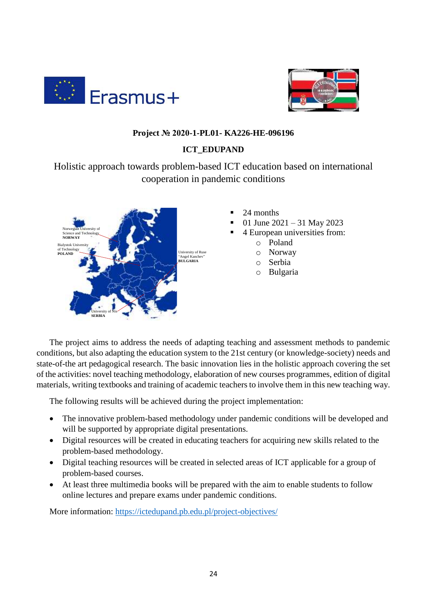



#### **Project № 2020-1-PL01- KA226-HE-096196**

#### **ICT\_EDUPAND**

Holistic approach towards problem-based ICT education based on international cooperation in pandemic conditions



- 24 months
- 01 June 2021 31 May 2023
- 4 European universities from:
	- o Poland
	- o Norway
	- o Serbia
	- o Bulgaria

The project aims to address the needs of adapting teaching and assessment methods to pandemic conditions, but also adapting the education system to the 21st century (or knowledge-society) needs and state-of-the art pedagogical research. The basic innovation lies in the holistic approach covering the set of the activities: novel teaching methodology, elaboration of new courses programmes, edition of digital materials, writing textbooks and training of academic teachers to involve them in this new teaching way.

The following results will be achieved during the project implementation:

- The innovative problem-based methodology under pandemic conditions will be developed and will be supported by appropriate digital presentations.
- Digital resources will be created in educating teachers for acquiring new skills related to the problem-based methodology.
- Digital teaching resources will be created in selected areas of ICT applicable for a group of problem-based courses.
- At least three multimedia books will be prepared with the aim to enable students to follow online lectures and prepare exams under pandemic conditions.

More information:<https://ictedupand.pb.edu.pl/project-objectives/>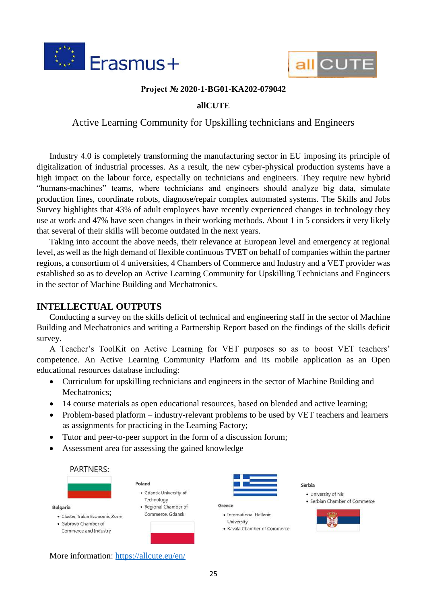



#### **Project № 2020-1-BG01-KA202-079042**

#### **allCUTE**

#### Active Learning Community for Upskilling technicians and Engineers

Industry 4.0 is completely transforming the manufacturing sector in EU imposing its principle of digitalization of industrial processes. As a result, the new cyber-physical production systems have a high impact on the labour force, especially on technicians and engineers. They require new hybrid "humans-machines" teams, where technicians and engineers should analyze big data, simulate production lines, coordinate robots, diagnose/repair complex automated systems. The Skills and Jobs Survey highlights that 43% of adult employees have recently experienced changes in technology they use at work and 47% have seen changes in their working methods. About 1 in 5 considers it very likely that several of their skills will become outdated in the next years.

Taking into account the above needs, their relevance at European level and emergency at regional level, as well as the high demand of flexible continuous TVET on behalf of companies within the partner regions, a consortium of 4 universities, 4 Chambers of Commerce and Industry and a VET provider was established so as to develop an Active Learning Community for Upskilling Technicians and Engineers in the sector of Machine Building and Mechatronics.

#### **INTELLECTUAL OUTPUTS**

Conducting a survey on the skills deficit of technical and engineering staff in the sector of Machine Building and Mechatronics and writing a Partnership Report based on the findings of the skills deficit survey.

A Teacher's ToolKit on Active Learning for VET purposes so as to boost VET teachers' competence. An Active Learning Community Platform and its mobile application as an Open educational resources database including:

- Curriculum for upskilling technicians and engineers in the sector of Machine Building and Mechatronics;
- 14 course materials as open educational resources, based on blended and active learning;
- Problem-based platform industry-relevant problems to be used by VET teachers and learners as assignments for practicing in the Learning Factory;
- Tutor and peer-to-peer support in the form of a discussion forum;
- Assessment area for assessing the gained knowledge



More information:<https://allcute.eu/en/>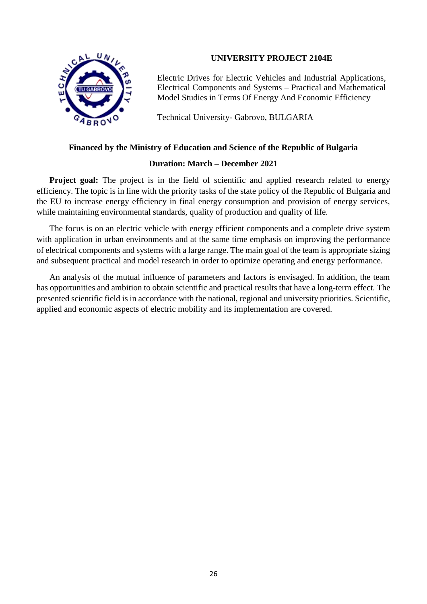

#### **UNIVERSITY PROJECT 2104E**

Electric Drives for Electric Vehicles and Industrial Applications, Electrical Components and Systems – Practical and Mathematical Model Studies in Terms Of Energy And Economic Efficiency

Technical University- Gabrovo, BULGARIA

#### **Financed by the Ministry of Education and Science of the Republic of Bulgaria**

#### **Duration: March – December 2021**

**Project goal:** The project is in the field of scientific and applied research related to energy efficiency. The topic is in line with the priority tasks of the state policy of the Republic of Bulgaria and the EU to increase energy efficiency in final energy consumption and provision of energy services, while maintaining environmental standards, quality of production and quality of life.

The focus is on an electric vehicle with energy efficient components and a complete drive system with application in urban environments and at the same time emphasis on improving the performance of electrical components and systems with a large range. The main goal of the team is appropriate sizing and subsequent practical and model research in order to optimize operating and energy performance.

An analysis of the mutual influence of parameters and factors is envisaged. In addition, the team has opportunities and ambition to obtain scientific and practical results that have a long-term effect. The presented scientific field is in accordance with the national, regional and university priorities. Scientific, applied and economic aspects of electric mobility and its implementation are covered.